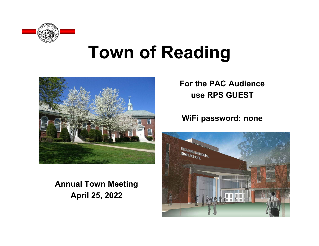

# **Town of Reading**



**Annual Town Meeting April 25, 2022**

**For the PAC Audience use RPS GUEST** 

#### **WiFi password: none**

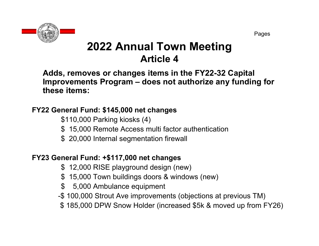Pages

# **2022 Annual Town Meeting Article 4**

**Adds, removes or changes items in the FY22-32 Capital Improvements Program – does not authorize any funding for these items:**

#### **FY22 General Fund: \$145,000 net changes**

\$110,000 Parking kiosks (4)

- \$ 15,000 Remote Access multi factor authentication
- \$ 20,000 Internal segmentation firewall

#### **FY23 General Fund: +\$117,000 net changes**

- \$ 12,000 RISE playground design (new)
- \$ 15,000 Town buildings doors & windows (new)
- \$ 5,000 Ambulance equipment
- -\$ 100,000 Strout Ave improvements (objections at previous TM)
- \$ 185,000 DPW Snow Holder (increased \$5k & moved up from FY26)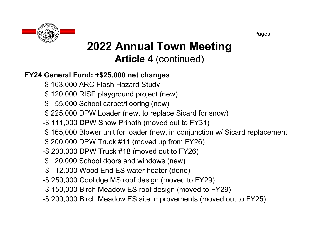

# **2022 Annual Town Meeting Article 4** (continued)

#### **FY24 General Fund: +\$25,000 net changes**

- \$ 163,000 ARC Flash Hazard Study
- \$ 120,000 RISE playground project (new)
- \$ 55,000 School carpet/flooring (new)
- \$ 225,000 DPW Loader (new, to replace Sicard for snow)
- -\$ 111,000 DPW Snow Prinoth (moved out to FY31)
- \$ 165,000 Blower unit for loader (new, in conjunction w/ Sicard replacement
- \$ 200,000 DPW Truck #11 (moved up from FY26)
- -\$ 200,000 DPW Truck #18 (moved out to FY26)
- \$ 20,000 School doors and windows (new)
- -\$ 12,000 Wood End ES water heater (done)
- -\$ 250,000 Coolidge MS roof design (moved to FY29)
- -\$ 150,000 Birch Meadow ES roof design (moved to FY29)
- -\$ 200,000 Birch Meadow ES site improvements (moved out to FY25)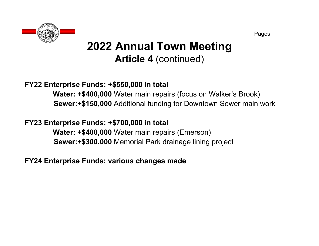

# **2022 Annual Town Meeting Article 4** (continued)

#### **FY22 Enterprise Funds: +\$550,000 in total**

**Water: +\$400,000** Water main repairs (focus on Walker's Brook) **Sewer:+\$150,000** Additional funding for Downtown Sewer main work

#### **FY23 Enterprise Funds: +\$700,000 in total**

**Water: +\$400,000** Water main repairs (Emerson) **Sewer:+\$300,000** Memorial Park drainage lining project

**FY24 Enterprise Funds: various changes made**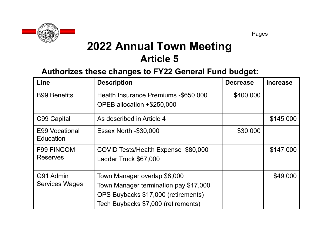

#### **Authorizes these changes to FY22 General Fund budget:**

| Line                                 | <b>Description</b>                                                                                                                                  | <b>Decrease</b> | <b>Increase</b> |
|--------------------------------------|-----------------------------------------------------------------------------------------------------------------------------------------------------|-----------------|-----------------|
| <b>B99 Benefits</b>                  | Health Insurance Premiums -\$650,000<br>OPEB allocation +\$250,000                                                                                  | \$400,000       |                 |
|                                      |                                                                                                                                                     |                 |                 |
| C99 Capital                          | As described in Article 4                                                                                                                           |                 | \$145,000       |
| E99 Vocational<br>Education          | <b>Essex North -\$30,000</b>                                                                                                                        | \$30,000        |                 |
| <b>F99 FINCOM</b><br><b>Reserves</b> | COVID Tests/Health Expense \$80,000<br>Ladder Truck \$67,000                                                                                        |                 | \$147,000       |
| G91 Admin<br><b>Services Wages</b>   | Town Manager overlap \$8,000<br>Town Manager termination pay \$17,000<br>OPS Buybacks \$17,000 (retirements)<br>Tech Buybacks \$7,000 (retirements) |                 | \$49,000        |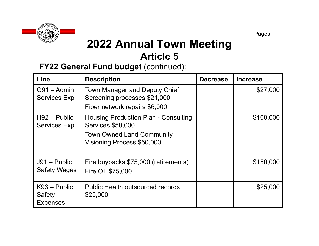

#### **FY22 General Fund budget (continued):**

| Line                                        | <b>Description</b>                                                                                                                 | <b>Decrease</b> | <b>Increase</b> |
|---------------------------------------------|------------------------------------------------------------------------------------------------------------------------------------|-----------------|-----------------|
| $G91 - Admin$<br><b>Services Exp</b>        | Town Manager and Deputy Chief<br>Screening processes \$21,000                                                                      |                 | \$27,000        |
|                                             | Fiber network repairs \$6,000                                                                                                      |                 |                 |
| $H92 - Public$<br>Services Exp.             | Housing Production Plan - Consulting<br><b>Services \$50,000</b><br><b>Town Owned Land Community</b><br>Visioning Process \$50,000 |                 | \$100,000       |
| $J91 - Public$<br><b>Safety Wages</b>       | Fire buybacks \$75,000 (retirements)<br>Fire OT \$75,000                                                                           |                 | \$150,000       |
| $K93 - Public$<br>Safety<br><b>Expenses</b> | <b>Public Health outsourced records</b><br>\$25,000                                                                                |                 | \$25,000        |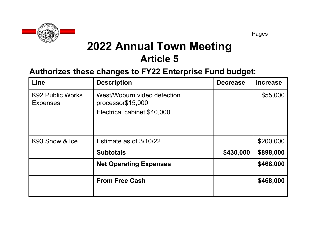

#### **Authorizes these changes to FY22 Enterprise Fund budget:**

| Line                                       | <b>Description</b>                                                              | <b>Decrease</b> | <b>Increase</b> |
|--------------------------------------------|---------------------------------------------------------------------------------|-----------------|-----------------|
| <b>K92 Public Works</b><br><b>Expenses</b> | West/Woburn video detection<br>processor\$15,000<br>Electrical cabinet \$40,000 |                 | \$55,000        |
| K93 Snow & Ice                             | Estimate as of 3/10/22                                                          |                 | \$200,000       |
|                                            | <b>Subtotals</b>                                                                | \$430,000       | \$898,000       |
|                                            | <b>Net Operating Expenses</b>                                                   |                 | \$468,000       |
|                                            | <b>From Free Cash</b>                                                           |                 | \$468,000       |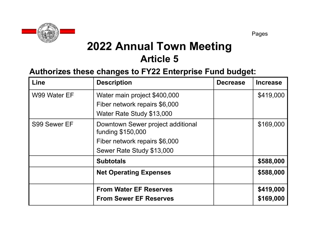

#### **Authorizes these changes to FY22 Enterprise Fund budget:**

| Line                                         | <b>Description</b>                                     | <b>Decrease</b> | <b>Increase</b> |
|----------------------------------------------|--------------------------------------------------------|-----------------|-----------------|
| W99 Water EF<br>Water main project \$400,000 |                                                        |                 | \$419,000       |
|                                              | Fiber network repairs \$6,000                          |                 |                 |
|                                              | Water Rate Study \$13,000                              |                 |                 |
| S99 Sewer EF                                 | Downtown Sewer project additional<br>funding \$150,000 |                 | \$169,000       |
|                                              | Fiber network repairs \$6,000                          |                 |                 |
|                                              | Sewer Rate Study \$13,000                              |                 |                 |
|                                              | <b>Subtotals</b>                                       |                 | \$588,000       |
|                                              | <b>Net Operating Expenses</b>                          |                 | \$588,000       |
|                                              | <b>From Water EF Reserves</b>                          |                 | \$419,000       |
|                                              | <b>From Sewer EF Reserves</b>                          |                 | \$169,000       |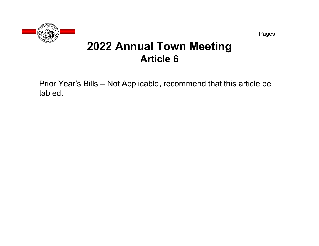

Prior Year's Bills – Not Applicable, recommend that this article be tabled.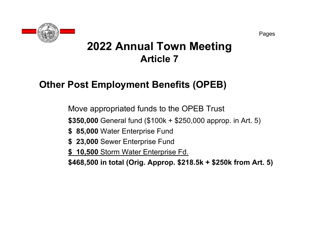

### **Other Post Employment Benefits (OPEB)**

Move appropriated funds to the OPEB Trust

**\$350,000** General fund (\$100k + \$250,000 approp. in Art. 5)

- **\$ 85,000** Water Enterprise Fund
- **\$ 23,000** Sewer Enterprise Fund
- **\$ 10,500** Storm Water Enterprise Fd.

**\$468,500 in total (Orig. Approp. \$218.5k + \$250k from Art. 5)**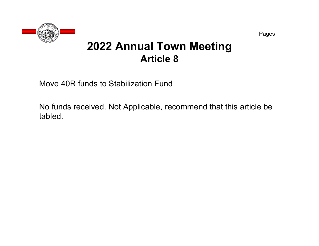

Move 40R funds to Stabilization Fund

No funds received. Not Applicable, recommend that this article be tabled.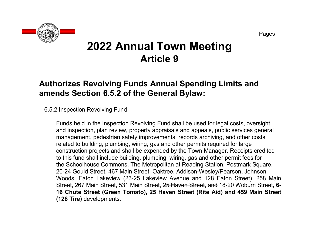

#### **Authorizes Revolving Funds Annual Spending Limits and amends Section 6.5.2 of the General Bylaw:**

#### 6.5.2 Inspection Revolving Fund

Funds held in the Inspection Revolving Fund shall be used for legal costs, oversight and inspection, plan review, property appraisals and appeals, public services general management, pedestrian safety improvements, records archiving, and other costs related to building, plumbing, wiring, gas and other permits required for large construction projects and shall be expended by the Town Manager. Receipts credited to this fund shall include building, plumbing, wiring, gas and other permit fees for the Schoolhouse Commons, The Metropolitan at Reading Station, Postmark Square, 20-24 Gould Street, 467 Main Street, Oaktree, Addison-Wesley/Pearson**,** Johnson Woods, Eaton Lakeview (23-25 Lakeview Avenue and 128 Eaton Street), 258 Main Street, 267 Main Street, 531 Main Street, 25 Haven Street, and 18-20 Woburn Street**, 6- 16 Chute Street (Green Tomato), 25 Haven Street (Rite Aid) and 459 Main Street (128 Tire)** developments.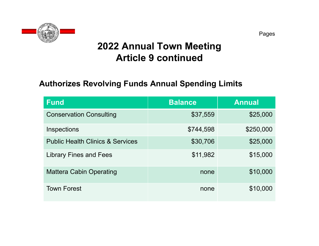

### **2022 Annual Town Meeting Article 9 continued**

#### **Authorizes Revolving Funds Annual Spending Limits**

| <b>Fund</b>                                 | <b>Balance</b> | <b>Annual</b> |
|---------------------------------------------|----------------|---------------|
| <b>Conservation Consulting</b>              | \$37,559       | \$25,000      |
| Inspections                                 | \$744,598      | \$250,000     |
| <b>Public Health Clinics &amp; Services</b> | \$30,706       | \$25,000      |
| <b>Library Fines and Fees</b>               | \$11,982       | \$15,000      |
| <b>Mattera Cabin Operating</b>              | none           | \$10,000      |
| <b>Town Forest</b>                          | none           | \$10,000      |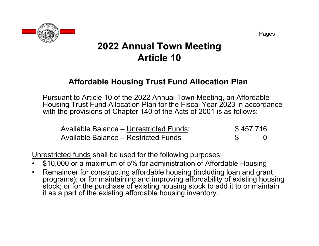

#### **Affordable Housing Trust Fund Allocation Plan**

Pursuant to Article 10 of the 2022 Annual Town Meeting, an Affordable Housing Trust Fund Allocation Plan for the Fiscal Year 2023 in accordance with the provisions of Chapter 140 of the Acts of 2001 is as follows:

| <b>Available Balance – Unrestricted Funds:</b> | \$457,716 |  |
|------------------------------------------------|-----------|--|
| Available Balance – Restricted Funds           |           |  |

Unrestricted funds shall be used for the following purposes:

- •\$10,000 or a maximum of 5% for administration of Affordable Housing
- $\bullet$  Remainder for constructing affordable housing (including loan and grant programs); or for maintaining and improving affordability of existing housing stock; or for the purchase of existing housing stock to add it to or maintain it as a part of the existing affordable housing inventory.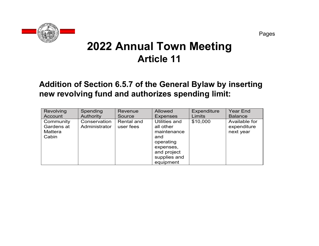

#### **Addition of Section 6.5.7 of the General Bylaw by inserting new revolving fund and authorizes spending limit:**

| Revolving                                          | Spending                      | Revenue                 | <b>Allowed</b>                                                                                                         | <b>Expenditure</b> | <b>Year End</b>                           |
|----------------------------------------------------|-------------------------------|-------------------------|------------------------------------------------------------------------------------------------------------------------|--------------------|-------------------------------------------|
| Account                                            | Authority                     | Source                  | <b>Expenses</b>                                                                                                        | <b>Limits</b>      | <b>Balance</b>                            |
| Community<br>Gardens at<br><b>Mattera</b><br>Cabin | Conservation<br>Administrator | Rental and<br>user fees | Utilities and<br>all other<br>maintenance<br>and<br>operating<br>expenses,<br>and project<br>supplies and<br>equipment | \$10,000           | Available for<br>expenditure<br>next year |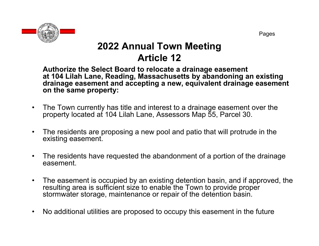

**Authorize the Select Board to relocate a drainage easement at 104 Lilah Lane, Reading, Massachusetts by abandoning an existing drainage easement and accepting a new, equivalent drainage easement on the same property:**

- $\bullet$  The Town currently has title and interest to a drainage easement over the property located at 104 Lilah Lane, Assessors Map 55, Parcel 30.
- $\bullet$  The residents are proposing a new pool and patio that will protrude in the existing easement.
- $\bullet$  The residents have requested the abandonment of a portion of the drainage easement.
- $\bullet$  The easement is occupied by an existing detention basin, and if approved, the resulting area is sufficient size to enable the Town to provide proper stormwater storage, maintenance or repair of the detention basin.
- $\bullet$ No additional utilities are proposed to occupy this easement in the future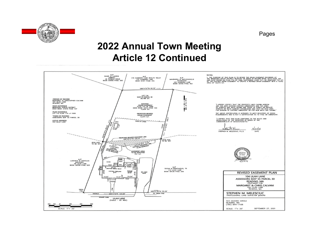

Pages

### **2022 Annual Town Meeting Article 12 Continued**

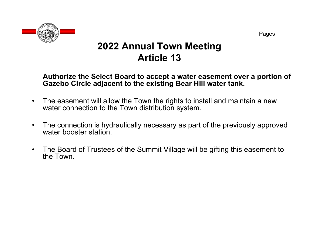

**Authorize the Select Board to accept a water easement over a portion of Gazebo Circle adjacent to the existing Bear Hill water tank.**

- $\bullet$  The easement will allow the Town the rights to install and maintain a new water connection to the Town distribution system.
- $\bullet$  The connection is hydraulically necessary as part of the previously approved water booster station.
- $\bullet$  The Board of Trustees of the Summit Village will be gifting this easement to the Town.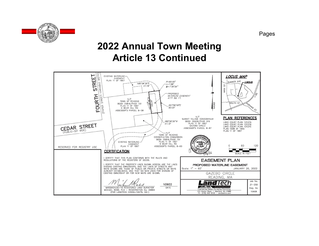

### **2022 Annual Town Meeting Article 13 Continued**

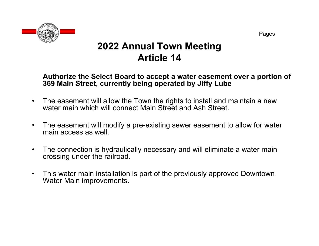

#### **Authorize the Select Board to accept a water easement over a portion of 369 Main Street, currently being operated by Jiffy Lube**

- $\bullet$  The easement will allow the Town the rights to install and maintain a new water main which will connect Main Street and Ash Street.
- $\bullet$  The easement will modify a pre-existing sewer easement to allow for water main access as well.
- $\bullet$  The connection is hydraulically necessary and will eliminate a water main crossing under the railroad.
- $\bullet$  This water main installation is part of the previously approved Downtown Water Main improvements.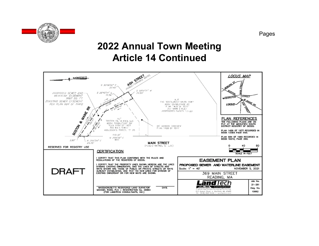

### **2022 Annual Town Meeting Article 14 Continued**

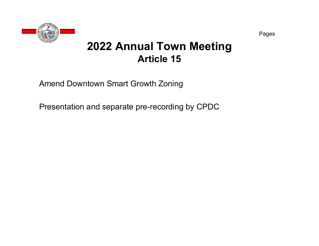

Amend Downtown Smart Growth Zoning

Presentation and separate pre-recording by CPDC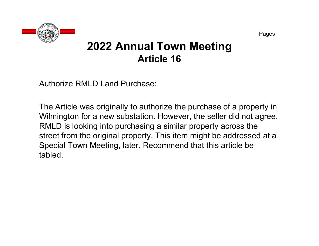

Authorize RMLD Land Purchase:

The Article was originally to authorize the purchase of a property in Wilmington for a new substation. However, the seller did not agree. RMLD is looking into purchasing a similar property across the street from the original property. This item might be addressed at a Special Town Meeting, later. Recommend that this article be tabled.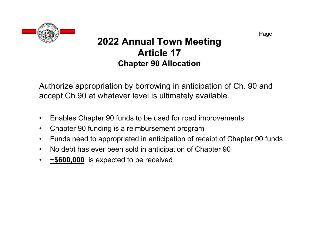

### **2022 Annual Town Meeting Article 17Chapter 90 Allocation**

Authorize appropriation by borrowing in anticipation of Ch. 90 and accept Ch.90 at whatever level is ultimately available.

- $\bullet$ Enables Chapter 90 funds to be used for road improvements
- •Chapter 90 funding is a reimbursement program
- $\bullet$ Funds need to appropriated in anticipation of receipt of Chapter 90 funds
- $\bullet$ No debt has ever been sold in anticipation of Chapter 90
- $\bullet$ **~\$600,000** is expected to be received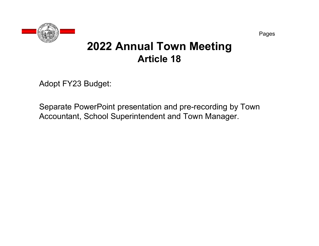

Adopt FY23 Budget:

Separate PowerPoint presentation and pre-recording by Town Accountant, School Superintendent and Town Manager.